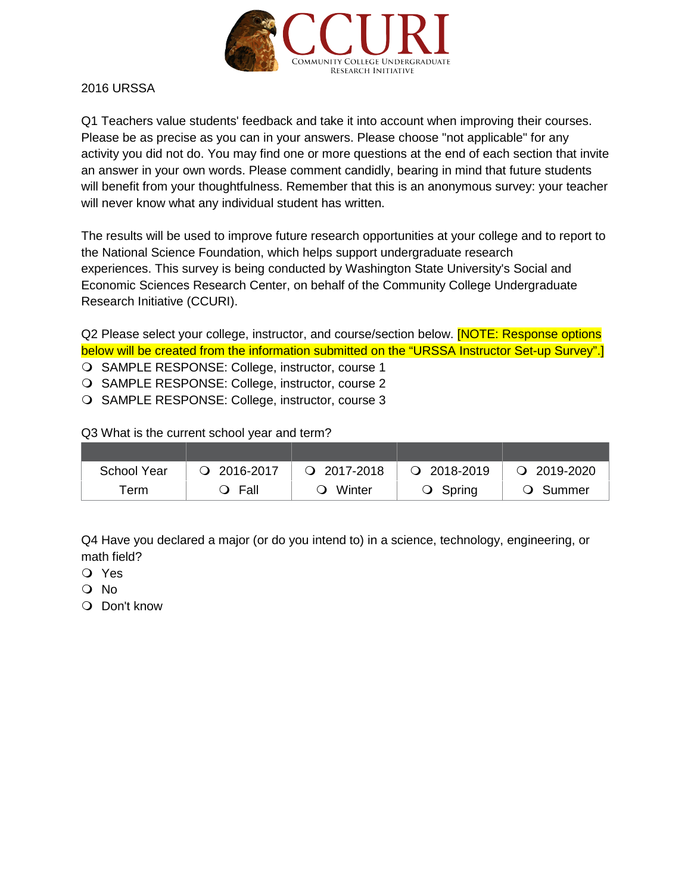

2016 URSSA

Q1 Teachers value students' feedback and take it into account when improving their courses. Please be as precise as you can in your answers. Please choose "not applicable" for any activity you did not do. You may find one or more questions at the end of each section that invite an answer in your own words. Please comment candidly, bearing in mind that future students will benefit from your thoughtfulness. Remember that this is an anonymous survey: your teacher will never know what any individual student has written.

The results will be used to improve future research opportunities at your college and to report to the National Science Foundation, which helps support undergraduate research experiences. This survey is being conducted by Washington State University's Social and Economic Sciences Research Center, on behalf of the Community College Undergraduate Research Initiative (CCURI).

Q2 Please select your college, instructor, and course/section below. **[NOTE: Response options** below will be created from the information submitted on the "URSSA Instructor Set-up Survey".] O SAMPLE RESPONSE: College, instructor, course 1

O SAMPLE RESPONSE: College, instructor, course 2

O SAMPLE RESPONSE: College, instructor, course 3

Q3 What is the current school year and term?

| <b>School Year</b> | $Q$ 2016-2017                | $Q$ 2017-2018 | $Q$ 2018-2019     | $Q$ 2019-2020            |
|--------------------|------------------------------|---------------|-------------------|--------------------------|
| Геrm               | Fall<br>$\ddot{\phantom{0}}$ | Winter        | $\bigcirc$ Spring | Summer<br>$\blacksquare$ |

Q4 Have you declared a major (or do you intend to) in a science, technology, engineering, or math field?

- Yes
- O No
- O Don't know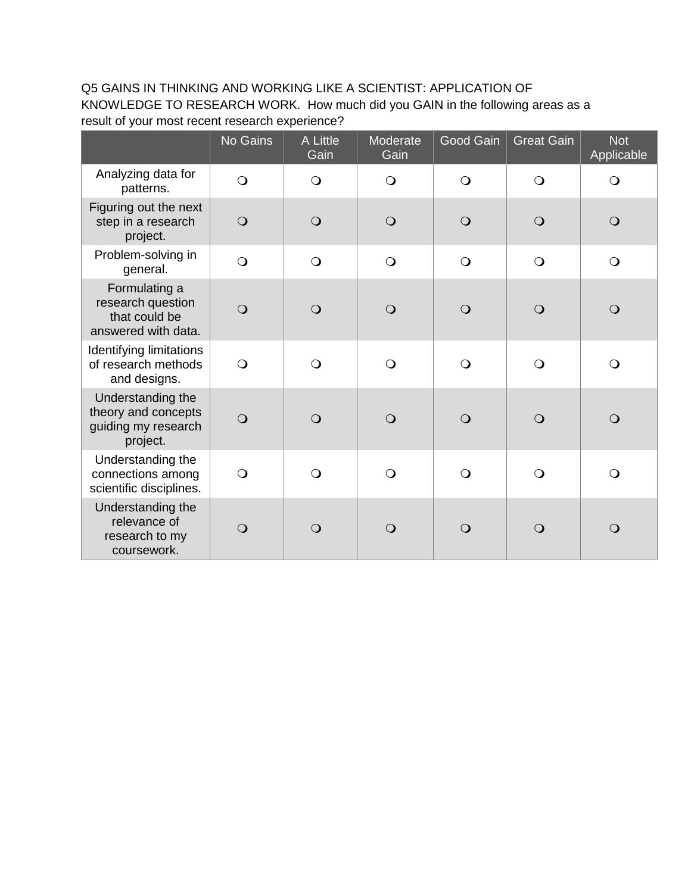# Q5 GAINS IN THINKING AND WORKING LIKE A SCIENTIST: APPLICATION OF KNOWLEDGE TO RESEARCH WORK. How much did you GAIN in the following areas as a result of your most recent research experience?

|                                                                             | No Gains       | A Little<br>Gain | Moderate<br>Gain | Good Gain  | <b>Great Gain</b> | <b>Not</b><br>Applicable |
|-----------------------------------------------------------------------------|----------------|------------------|------------------|------------|-------------------|--------------------------|
| Analyzing data for<br>patterns.                                             | $\bigcirc$     | $\bigcirc$       | $\bigcirc$       | $\bigcirc$ | $\bigcirc$        | $\bigcirc$               |
| Figuring out the next<br>step in a research<br>project.                     | $\bigcirc$     | $\bigcirc$       | $\bigcirc$       | $\bigcirc$ | $\bigcirc$        | $\bigcirc$               |
| Problem-solving in<br>general.                                              | $\bigcirc$     | $\bigcirc$       | $\bigcirc$       | $\bigcirc$ | $\bigcirc$        | $\bigcirc$               |
| Formulating a<br>research question<br>that could be<br>answered with data.  | $\bigcirc$     | $\bigcirc$       | $\bigcirc$       | $\bigcirc$ | $\bigcirc$        | $\bigcirc$               |
| Identifying limitations<br>of research methods<br>and designs.              | $\bigcirc$     | $\bigcirc$       | $\bigcirc$       | $\bigcirc$ | $\bigcirc$        | $\bigcirc$               |
| Understanding the<br>theory and concepts<br>guiding my research<br>project. | $\overline{O}$ | $\bigcirc$       | $\bigcirc$       | $\bigcirc$ | $\bigcirc$        | $\bigcirc$               |
| Understanding the<br>connections among<br>scientific disciplines.           | $\bigcirc$     | $\bigcirc$       | $\bigcirc$       | $\bigcirc$ | $\bigcirc$        | $\bigcirc$               |
| Understanding the<br>relevance of<br>research to my<br>coursework.          | $\overline{O}$ | $\bigcirc$       | $\bigcirc$       | $\bigcirc$ | $\Omega$          | $\bigcirc$               |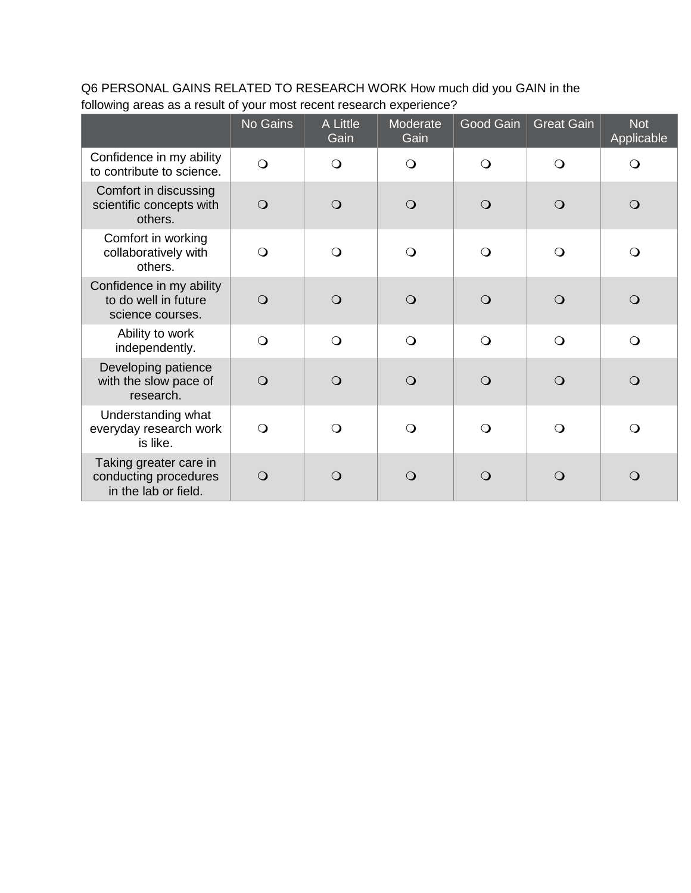Q6 PERSONAL GAINS RELATED TO RESEARCH WORK How much did you GAIN in the following areas as a result of your most recent research experience?

|                                                                         | No Gains       | A Little<br>Gain | Moderate<br>Gain | Good Gain  | <b>Great Gain</b> | <b>Not</b><br>Applicable |
|-------------------------------------------------------------------------|----------------|------------------|------------------|------------|-------------------|--------------------------|
| Confidence in my ability<br>to contribute to science.                   | $\overline{O}$ | $\bigcirc$       | $\bigcirc$       | $\circ$    | $\bigcirc$        | $\bigcirc$               |
| Comfort in discussing<br>scientific concepts with<br>others.            | $\bigcirc$     | $\circ$          | $\Omega$         | $\circ$    | $\circ$           | $\bigcirc$               |
| Comfort in working<br>collaboratively with<br>others.                   | $\bigcirc$     | $\bigcirc$       | $\circ$          | $\circ$    | $\bigcirc$        | $\bigcirc$               |
| Confidence in my ability<br>to do well in future<br>science courses.    | $\overline{O}$ | $\circ$          | $\Omega$         | $\Omega$   | $\Omega$          | $\Omega$                 |
| Ability to work<br>independently.                                       | $\bigcirc$     | $\bigcirc$       | $\bigcirc$       | $\bigcirc$ | $\bigcirc$        | $\bigcirc$               |
| Developing patience<br>with the slow pace of<br>research.               | $\Omega$       | $\circ$          | $\bigcirc$       | $\Omega$   | $\circ$           | $\bigcirc$               |
| Understanding what<br>everyday research work<br>is like.                | $\Omega$       | $\bigcirc$       | $\Omega$         | $\Omega$   | $\bigcirc$        | $\Omega$                 |
| Taking greater care in<br>conducting procedures<br>in the lab or field. | $\Omega$       | Q                | $\Omega$         | ∩          | Q                 | $\mathsf{O}$             |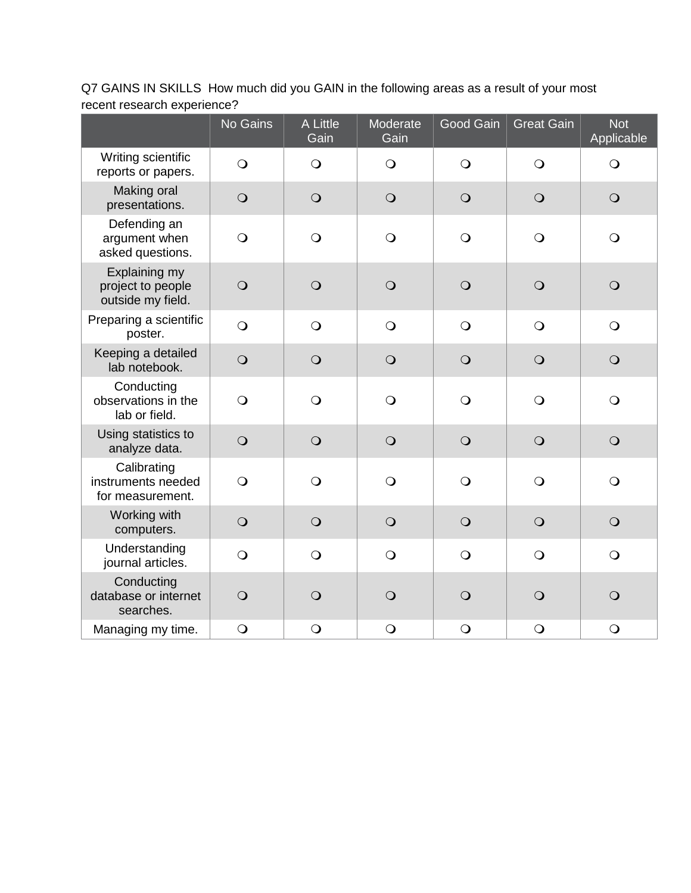Q7 GAINS IN SKILLS How much did you GAIN in the following areas as a result of your most recent research experience?

|                                                         | No Gains       | A Little<br>Gain | Moderate<br>Gain | Good Gain  | <b>Great Gain</b> | <b>Not</b><br>Applicable |
|---------------------------------------------------------|----------------|------------------|------------------|------------|-------------------|--------------------------|
| Writing scientific<br>reports or papers.                | $\bigcirc$     | $\bigcirc$       | $\bigcirc$       | $\bigcirc$ | $\bigcirc$        | $\bigcirc$               |
| Making oral<br>presentations.                           | $\bigcirc$     | $\bigcirc$       | $\bigcirc$       | $\bigcirc$ | $\bigcirc$        | $\bigcirc$               |
| Defending an<br>argument when<br>asked questions.       | $\bigcirc$     | $\bigcirc$       | $\bigcirc$       | $\bigcirc$ | $\bigcirc$        | $\bigcirc$               |
| Explaining my<br>project to people<br>outside my field. | $\bigcirc$     | $\bigcirc$       | $\bigcirc$       | $\bigcirc$ | $\bigcirc$        | $\bigcirc$               |
| Preparing a scientific<br>poster.                       | $\overline{O}$ | $\bigcirc$       | $\bigcirc$       | $\bigcirc$ | $\bigcirc$        | $\bigcirc$               |
| Keeping a detailed<br>lab notebook.                     | $\bigcirc$     | $\bigcirc$       | $\bigcirc$       | $\bigcirc$ | $\bigcirc$        | $\bigcirc$               |
| Conducting<br>observations in the<br>lab or field.      | $\bigcirc$     | $\bigcirc$       | $\bigcirc$       | $\bigcirc$ | $\bigcirc$        | $\bigcirc$               |
| Using statistics to<br>analyze data.                    | $\bigcirc$     | $\bigcirc$       | $\bigcirc$       | $\bigcirc$ | $\bigcirc$        | $\bigcirc$               |
| Calibrating<br>instruments needed<br>for measurement.   | $\bigcirc$     | $\bigcirc$       | $\bigcirc$       | $\bigcirc$ | $\bigcirc$        | $\bigcirc$               |
| Working with<br>computers.                              | $\bigcirc$     | $\bigcirc$       | $\bigcirc$       | $\bigcirc$ | $\bigcirc$        | $\bigcirc$               |
| Understanding<br>journal articles.                      | $\bigcirc$     | $\bigcirc$       | $\bigcirc$       | $\bigcirc$ | $\bigcirc$        | $\bigcirc$               |
| Conducting<br>database or internet<br>searches.         | $\bigcirc$     | $\bigcirc$       | $\bigcirc$       | $\bigcirc$ | $\bigcirc$        | $\bigcirc$               |
| Managing my time.                                       | $\bigcirc$     | $\bigcirc$       | $\bigcirc$       | $\bigcirc$ | $\bigcirc$        | $\bigcirc$               |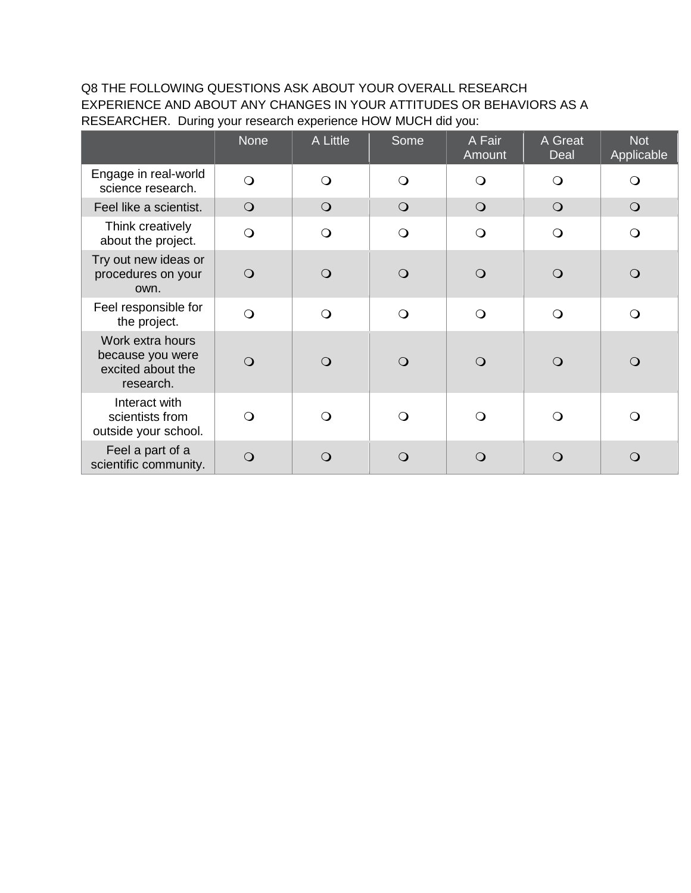Q8 THE FOLLOWING QUESTIONS ASK ABOUT YOUR OVERALL RESEARCH EXPERIENCE AND ABOUT ANY CHANGES IN YOUR ATTITUDES OR BEHAVIORS AS A RESEARCHER. During your research experience HOW MUCH did you:

|                                                                        | <b>None</b> | A Little   | Some       | A Fair<br>Amount | A Great<br>Deal | <b>Not</b><br>Applicable |
|------------------------------------------------------------------------|-------------|------------|------------|------------------|-----------------|--------------------------|
| Engage in real-world<br>science research.                              | $\bigcirc$  | $\bigcirc$ | $\circ$    | $\Omega$         | $\Omega$        | $\Omega$                 |
| Feel like a scientist.                                                 | $\bigcirc$  | $\bigcirc$ | $\bigcirc$ | $\bigcirc$       | $\bigcirc$      | $\bigcirc$               |
| Think creatively<br>about the project.                                 | $\bigcirc$  | $\bigcirc$ | $\bigcirc$ | $\bigcirc$       | $\bigcirc$      | $\bigcirc$               |
| Try out new ideas or<br>procedures on your<br>own.                     | $\bigcirc$  | $\Omega$   | $\bigcirc$ | $\Omega$         | $\Omega$        | $\bigcirc$               |
| Feel responsible for<br>the project.                                   | $\bigcirc$  | $\bigcirc$ | $\bigcirc$ | $\bigcirc$       | $\bigcirc$      | $\bigcirc$               |
| Work extra hours<br>because you were<br>excited about the<br>research. | $\bigcirc$  | $\Omega$   | $\bigcirc$ | $\bigcirc$       | $\Omega$        | $\bigcirc$               |
| Interact with<br>scientists from<br>outside your school.               | $\Omega$    | $\Omega$   | $\bigcirc$ | $\bigcirc$       | $\Omega$        | $\bigcirc$               |
| Feel a part of a<br>scientific community.                              | $\bigcirc$  | $\Omega$   | $\bigcirc$ | $\Omega$         | $\Omega$        | $\mathbf{O}$             |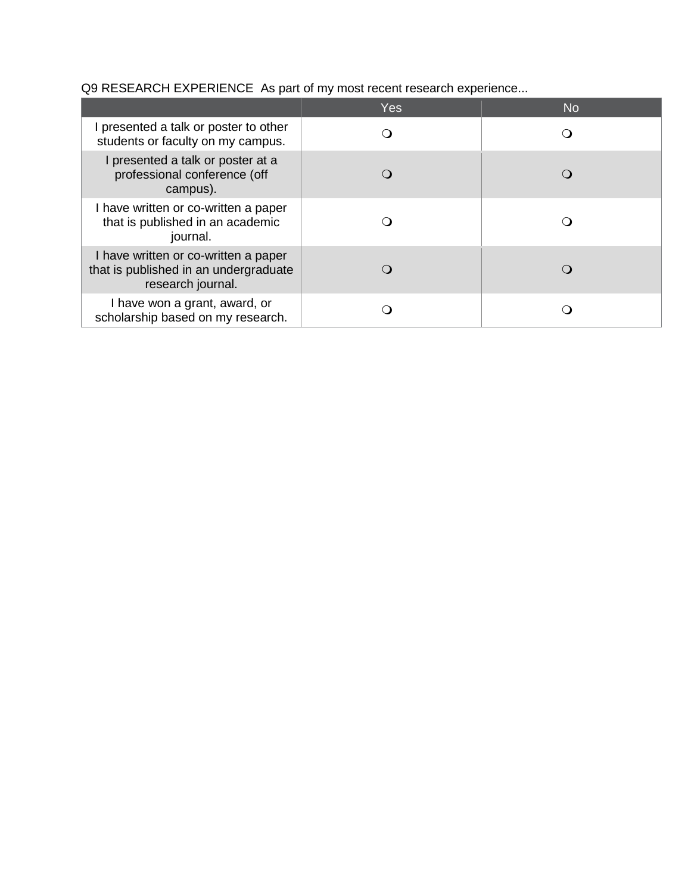Q9 RESEARCH EXPERIENCE As part of my most recent research experience...

|                                                                                                    | Yes | <b>No</b> |
|----------------------------------------------------------------------------------------------------|-----|-----------|
| I presented a talk or poster to other<br>students or faculty on my campus.                         |     |           |
| I presented a talk or poster at a<br>professional conference (off<br>campus).                      |     |           |
| I have written or co-written a paper<br>that is published in an academic<br>journal.               |     |           |
| I have written or co-written a paper<br>that is published in an undergraduate<br>research journal. |     |           |
| I have won a grant, award, or<br>scholarship based on my research.                                 |     |           |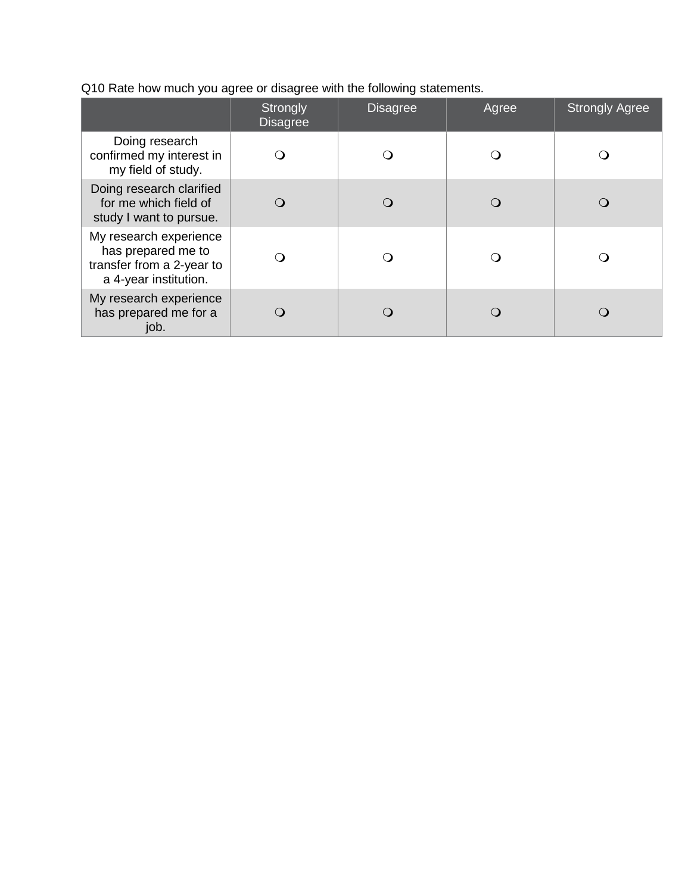Q10 Rate how much you agree or disagree with the following statements.

|                                                                                                    | <b>Strongly</b><br><b>Disagree</b> | <b>Disagree</b> | Agree | <b>Strongly Agree</b> |
|----------------------------------------------------------------------------------------------------|------------------------------------|-----------------|-------|-----------------------|
| Doing research<br>confirmed my interest in<br>my field of study.                                   |                                    |                 |       |                       |
| Doing research clarified<br>for me which field of<br>study I want to pursue.                       |                                    |                 |       |                       |
| My research experience<br>has prepared me to<br>transfer from a 2-year to<br>a 4-year institution. |                                    |                 |       |                       |
| My research experience<br>has prepared me for a<br>job.                                            |                                    |                 |       |                       |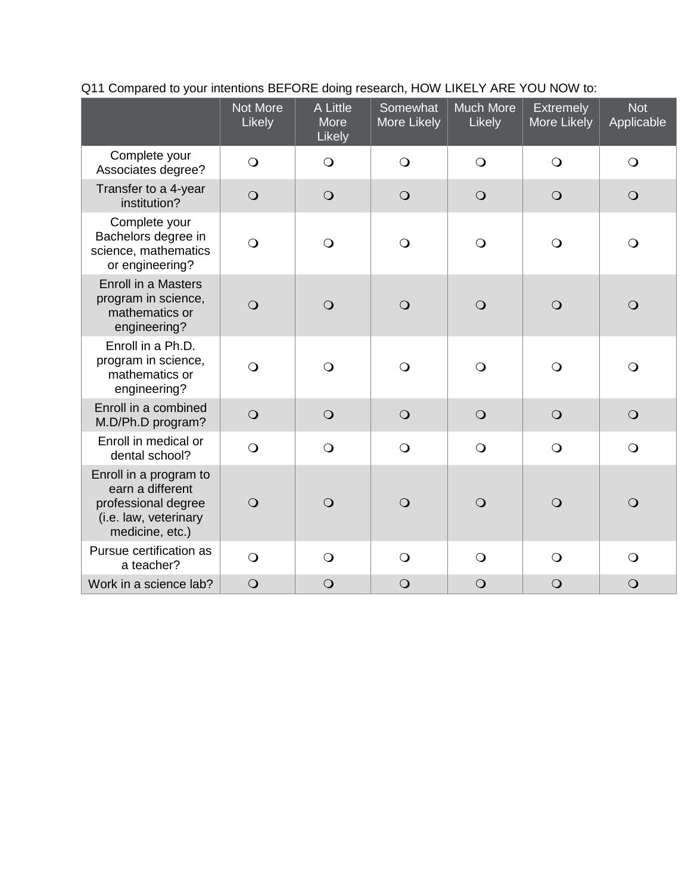|                                                                                                               | Not More<br>Likely | A Little<br>More<br>Likely | Somewhat<br>More Likely | <b>Much More</b><br>Likely | <b>Extremely</b><br>More Likely | <b>Not</b><br>Applicable |
|---------------------------------------------------------------------------------------------------------------|--------------------|----------------------------|-------------------------|----------------------------|---------------------------------|--------------------------|
| Complete your<br>Associates degree?                                                                           | $\overline{O}$     | $\bigcirc$                 | $\bigcirc$              | $\bigcirc$                 | $\bigcirc$                      | $\bigcirc$               |
| Transfer to a 4-year<br>institution?                                                                          | $\bigcirc$         | $\bigcirc$                 | $\bigcirc$              | $\bigcirc$                 | $\bigcirc$                      | $\bigcirc$               |
| Complete your<br>Bachelors degree in<br>science, mathematics<br>or engineering?                               | $\bigcirc$         | $\bigcirc$                 | $\bigcirc$              | $\bigcirc$                 | $\bigcirc$                      | $\bigcirc$               |
| Enroll in a Masters<br>program in science,<br>mathematics or<br>engineering?                                  | $\overline{O}$     | $\overline{O}$             | $\overline{O}$          | $\bigcirc$                 | $\bigcirc$                      | $\bigcirc$               |
| Enroll in a Ph.D.<br>program in science,<br>mathematics or<br>engineering?                                    | $\overline{O}$     | $\overline{O}$             | $\bigcirc$              | $\bigcirc$                 | $\bigcirc$                      | $\bigcirc$               |
| Enroll in a combined<br>M.D/Ph.D program?                                                                     | $\overline{O}$     | $\bigcirc$                 | $\bigcirc$              | $\bigcirc$                 | $\bigcirc$                      | $\bigcirc$               |
| Enroll in medical or<br>dental school?                                                                        | $\bigcirc$         | $\bigcirc$                 | $\overline{O}$          | $\bigcirc$                 | $\bigcirc$                      | $\bigcirc$               |
| Enroll in a program to<br>earn a different<br>professional degree<br>(i.e. law, veterinary<br>medicine, etc.) | $\overline{O}$     | $\overline{O}$             | $\overline{O}$          | $\bigcirc$                 | $\bigcirc$                      | $\bigcirc$               |
| Pursue certification as<br>a teacher?                                                                         | $\bigcirc$         | $\bigcirc$                 | $\overline{O}$          | $\bigcirc$                 | $\bigcirc$                      | $\bigcirc$               |
| Work in a science lab?                                                                                        | $\bigcirc$         | $\bigcirc$                 | $\bigcirc$              | $\bigcirc$                 | $\bigcirc$                      | $\bigcirc$               |

## Q11 Compared to your intentions BEFORE doing research, HOW LIKELY ARE YOU NOW to: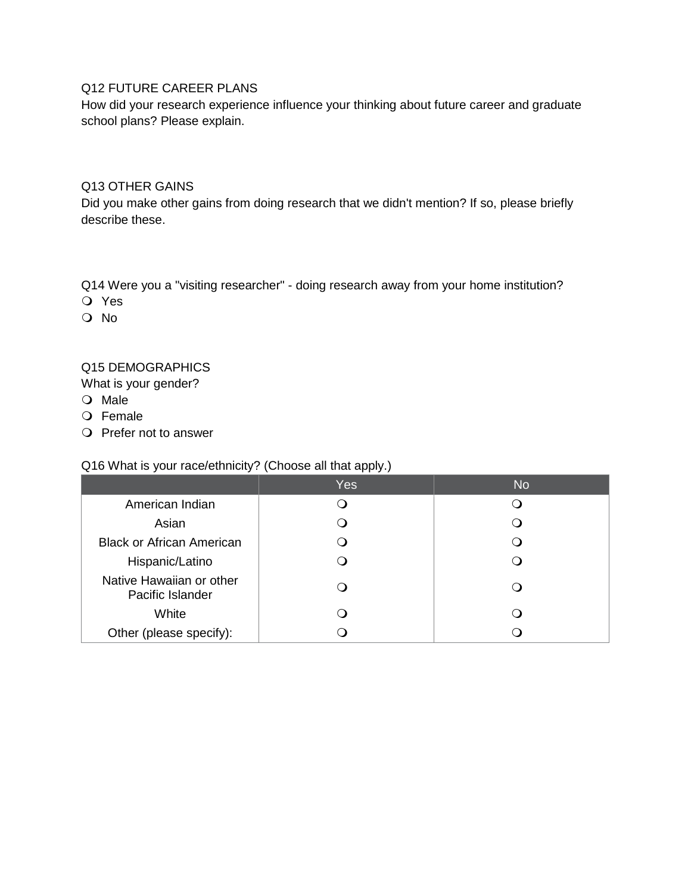## Q12 FUTURE CAREER PLANS

How did your research experience influence your thinking about future career and graduate school plans? Please explain.

#### Q13 OTHER GAINS

Did you make other gains from doing research that we didn't mention? If so, please briefly describe these.

Q14 Were you a "visiting researcher" - doing research away from your home institution?

- Yes
- O No

### Q15 DEMOGRAPHICS

What is your gender?

- O Male
- O Female
- O Prefer not to answer

#### Q16 What is your race/ethnicity? (Choose all that apply.)

|                                              | Yes | <b>No</b> |
|----------------------------------------------|-----|-----------|
| American Indian                              |     |           |
| Asian                                        |     |           |
| <b>Black or African American</b>             |     |           |
| Hispanic/Latino                              |     |           |
| Native Hawaiian or other<br>Pacific Islander |     |           |
| White                                        |     |           |
| Other (please specify):                      |     |           |